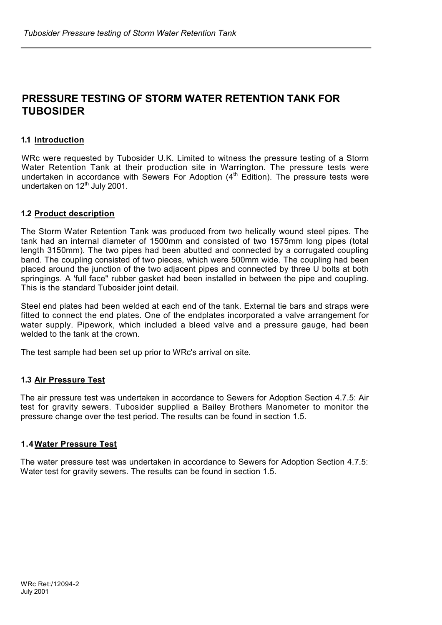# **PRESSURE TESTING OF STORM WATER RETENTION TANK FOR TUBOSIDER**

### **1.1 Introduction**

WRc were requested by Tubosider U.K. Limited to witness the pressure testing of a Storm Water Retention Tank at their production site in Warrington. The pressure tests were undertaken in accordance with Sewers For Adoption (4<sup>th</sup> Edition). The pressure tests were undertaken on 12<sup>th</sup> July 2001.

#### **1.2 Product description**

The Storm Water Retention Tank was produced from two helically wound steel pipes. The tank had an internal diameter of 1500mm and consisted of two 1575mm long pipes (total length 3150mm). The two pipes had been abutted and connected by a corrugated coupling band. The coupling consisted of two pieces, which were 500mm wide. The coupling had been placed around the junction of the two adjacent pipes and connected by three U bolts at both springings. A 'full face" rubber gasket had been installed in between the pipe and coupling. This is the standard Tubosider joint detail.

Steel end plates had been welded at each end of the tank. External tie bars and straps were fitted to connect the end plates. One of the endplates incorporated a valve arrangement for water supply. Pipework, which included a bleed valve and a pressure gauge, had been welded to the tank at the crown.

The test sample had been set up prior to WRc's arrival on site.

## **1.3 Air Pressure Test**

The air pressure test was undertaken in accordance to Sewers for Adoption Section 4.7.5: Air test for gravity sewers. Tubosider supplied a Bailey Brothers Manometer to monitor the pressure change over the test period. The results can be found in section 1.5.

#### **1.4 Water Pressure Test**

The water pressure test was undertaken in accordance to Sewers for Adoption Section 4.7.5: Water test for gravity sewers. The results can be found in section 1.5.